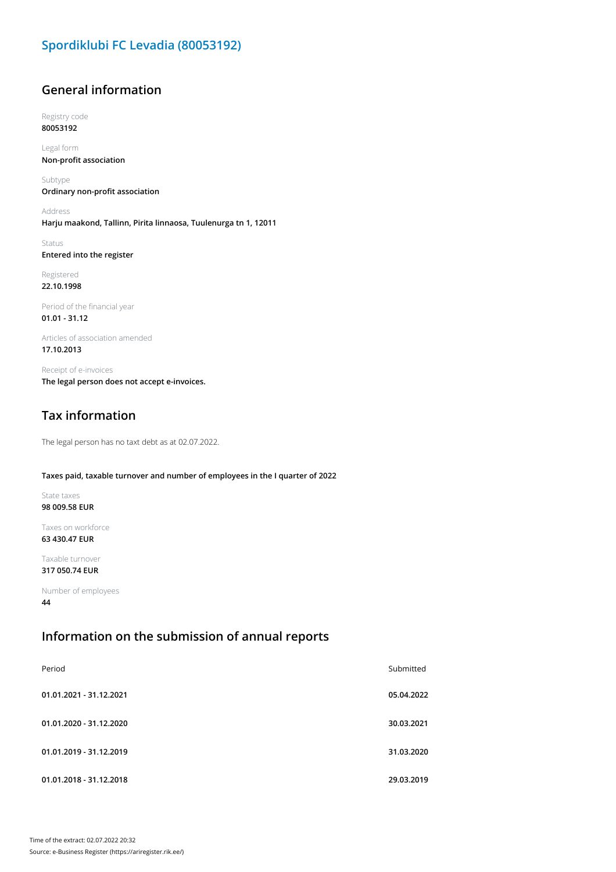# **General information**

Registry code **80053192**

Legal form **Non-profit association**

Subtype **Ordinary non-profit association**

Address **Harju maakond, Tallinn, Pirita linnaosa, Tuulenurga tn 1, 12011**

Status **Entered into the register**

Registered **22.10.1998**

Period of the financial year **01.01 - 31.12**

Articles of association amended **17.10.2013**

Receipt of e-invoices **The legal person does not accept e-invoices.**

# **Tax information**

The legal person has no taxt debt as at 02.07.2022.

### **Taxes paid, taxable turnover and number of employees in the I quarter of 2022**

State taxes **98 009.58 EUR**

Taxes on workforce **63 430.47 EUR**

Taxable turnover **317 050.74 EUR**

Number of employees **44**

### **Information on the submission of annual reports**

| Period                  | Submitted  |
|-------------------------|------------|
| 01.01.2021 - 31.12.2021 | 05.04.2022 |
| 01.01.2020 - 31.12.2020 | 30.03.2021 |
| 01.01.2019 - 31.12.2019 | 31.03.2020 |
| 01.01.2018 - 31.12.2018 | 29.03.2019 |